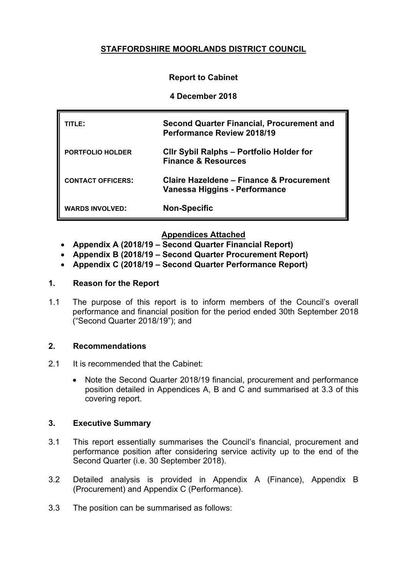# **STAFFORDSHIRE MOORLANDS DISTRICT COUNCIL**

## **Report to Cabinet**

#### **4 December 2018**

| TITLE:                   | <b>Second Quarter Financial, Procurement and</b><br><b>Performance Review 2018/19</b> |
|--------------------------|---------------------------------------------------------------------------------------|
| <b>PORTFOLIO HOLDER</b>  | <b>CIIr Sybil Ralphs - Portfolio Holder for</b><br><b>Finance &amp; Resources</b>     |
| <b>CONTACT OFFICERS:</b> | Claire Hazeldene - Finance & Procurement<br>Vanessa Higgins - Performance             |
| <b>WARDS INVOLVED:</b>   | <b>Non-Specific</b>                                                                   |

#### **Appendices Attached**

- **Appendix A (2018/19 – Second Quarter Financial Report)**
- **Appendix B (2018/19 – Second Quarter Procurement Report)**
- **Appendix C (2018/19 – Second Quarter Performance Report)**

#### **1. Reason for the Report**

1.1 The purpose of this report is to inform members of the Council's overall performance and financial position for the period ended 30th September 2018 ("Second Quarter 2018/19"); and

#### **2. Recommendations**

- 2.1 It is recommended that the Cabinet:
	- Note the Second Quarter 2018/19 financial, procurement and performance position detailed in Appendices A, B and C and summarised at 3.3 of this covering report.

#### **3. Executive Summary**

- 3.1 This report essentially summarises the Council's financial, procurement and performance position after considering service activity up to the end of the Second Quarter (i.e. 30 September 2018).
- 3.2 Detailed analysis is provided in Appendix A (Finance), Appendix B (Procurement) and Appendix C (Performance).
- 3.3 The position can be summarised as follows: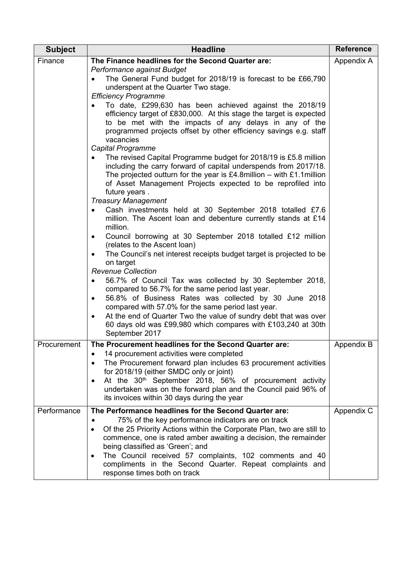| <b>Subject</b> | <b>Headline</b>                                                                                                                      | <b>Reference</b> |
|----------------|--------------------------------------------------------------------------------------------------------------------------------------|------------------|
| Finance        | The Finance headlines for the Second Quarter are:                                                                                    | Appendix A       |
|                | Performance against Budget<br>The General Fund budget for 2018/19 is forecast to be £66,790                                          |                  |
|                | underspent at the Quarter Two stage.                                                                                                 |                  |
|                | <b>Efficiency Programme</b>                                                                                                          |                  |
|                | To date, £299,630 has been achieved against the 2018/19<br>efficiency target of £830,000. At this stage the target is expected       |                  |
|                | to be met with the impacts of any delays in any of the                                                                               |                  |
|                | programmed projects offset by other efficiency savings e.g. staff                                                                    |                  |
|                | vacancies                                                                                                                            |                  |
|                | Capital Programme                                                                                                                    |                  |
|                | The revised Capital Programme budget for 2018/19 is £5.8 million<br>including the carry forward of capital underspends from 2017/18. |                  |
|                | The projected outturn for the year is £4.8 million – with £1.1 million                                                               |                  |
|                | of Asset Management Projects expected to be reprofiled into                                                                          |                  |
|                | future years.                                                                                                                        |                  |
|                | <b>Treasury Management</b><br>Cash investments held at 30 September 2018 totalled £7.6                                               |                  |
|                | million. The Ascent loan and debenture currently stands at £14                                                                       |                  |
|                | million.                                                                                                                             |                  |
|                | Council borrowing at 30 September 2018 totalled £12 million                                                                          |                  |
|                | (relates to the Ascent loan)<br>The Council's net interest receipts budget target is projected to be                                 |                  |
|                | on target                                                                                                                            |                  |
|                | <b>Revenue Collection</b>                                                                                                            |                  |
|                | 56.7% of Council Tax was collected by 30 September 2018,                                                                             |                  |
|                | compared to 56.7% for the same period last year.<br>56.8% of Business Rates was collected by 30 June 2018<br>٠                       |                  |
|                | compared with 57.0% for the same period last year.                                                                                   |                  |
|                | At the end of Quarter Two the value of sundry debt that was over<br>$\bullet$                                                        |                  |
|                | 60 days old was £99,980 which compares with £103,240 at 30th                                                                         |                  |
|                | September 2017                                                                                                                       |                  |
| Procurement    | The Procurement headlines for the Second Quarter are:<br>14 procurement activities were completed                                    | Appendix B       |
|                | The Procurement forward plan includes 63 procurement activities                                                                      |                  |
|                | for 2018/19 (either SMDC only or joint)                                                                                              |                  |
|                | At the 30 <sup>th</sup> September 2018, 56% of procurement activity<br>$\bullet$                                                     |                  |
|                | undertaken was on the forward plan and the Council paid 96% of<br>its invoices within 30 days during the year                        |                  |
| Performance    | The Performance headlines for the Second Quarter are:                                                                                |                  |
|                | 75% of the key performance indicators are on track                                                                                   | Appendix C       |
|                | Of the 25 Priority Actions within the Corporate Plan, two are still to                                                               |                  |
|                | commence, one is rated amber awaiting a decision, the remainder                                                                      |                  |
|                | being classified as 'Green'; and                                                                                                     |                  |
|                | The Council received 57 complaints, 102 comments and 40<br>$\bullet$<br>compliments in the Second Quarter. Repeat complaints and     |                  |
|                | response times both on track                                                                                                         |                  |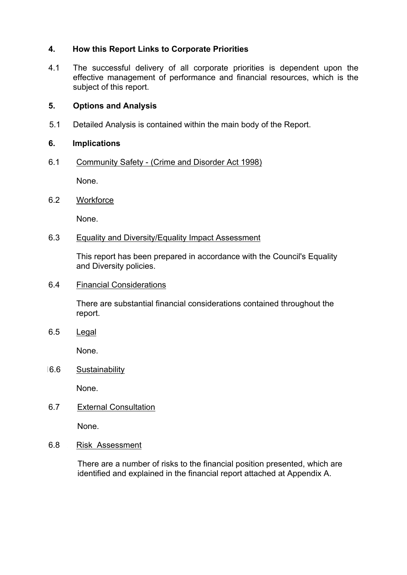## **4. How this Report Links to Corporate Priorities**

4.1 The successful delivery of all corporate priorities is dependent upon the effective management of performance and financial resources, which is the subject of this report.

## **5. Options and Analysis**

5.1 Detailed Analysis is contained within the main body of the Report.

#### **6. Implications**

6.1 Community Safety - (Crime and Disorder Act 1998)

None.

6.2 Workforce

None.

6.3 Equality and Diversity/Equality Impact Assessment

This report has been prepared in accordance with the Council's Equality and Diversity policies.

6.4 Financial Considerations

There are substantial financial considerations contained throughout the report.

6.5 Legal

None.

16.6 Sustainability

None.

6.7 External Consultation

None.

6.8 Risk Assessment

There are a number of risks to the financial position presented, which are identified and explained in the financial report attached at Appendix A.